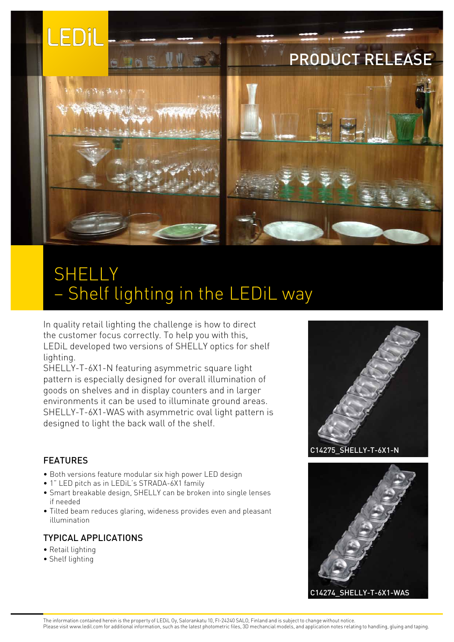

# SHELLY – Shelf lighting in the LEDiL way

In quality retail lighting the challenge is how to direct the customer focus correctly. To help you with this, LEDiL developed two versions of SHELLY optics for shelf lighting.

SHELLY-T-6X1-N featuring asymmetric square light pattern is especially designed for overall illumination of goods on shelves and in display counters and in larger environments it can be used to illuminate ground areas. SHELLY-T-6X1-WAS with asymmetric oval light pattern is designed to light the back wall of the shelf.

#### FEATURES

- Both versions feature modular six high power LED design
- 1" LED pitch as in LEDiL's STRADA-6X1 family
- Smart breakable design, SHELLY can be broken into single lenses if needed
- Tilted beam reduces glaring, wideness provides even and pleasant illumination

### TYPICAL APPLICATIONS

- Retail lighting
- Shelf lighting





The information contained herein is the property of LEDiL Oy, Salorankatu 10, FI-24240 SALO, Finland and is subject to change without notice. Please visit www.ledil.com for additional information, such as the latest photometric files, 3D mechancial models, and application notes relating to handling, gluing and taping.